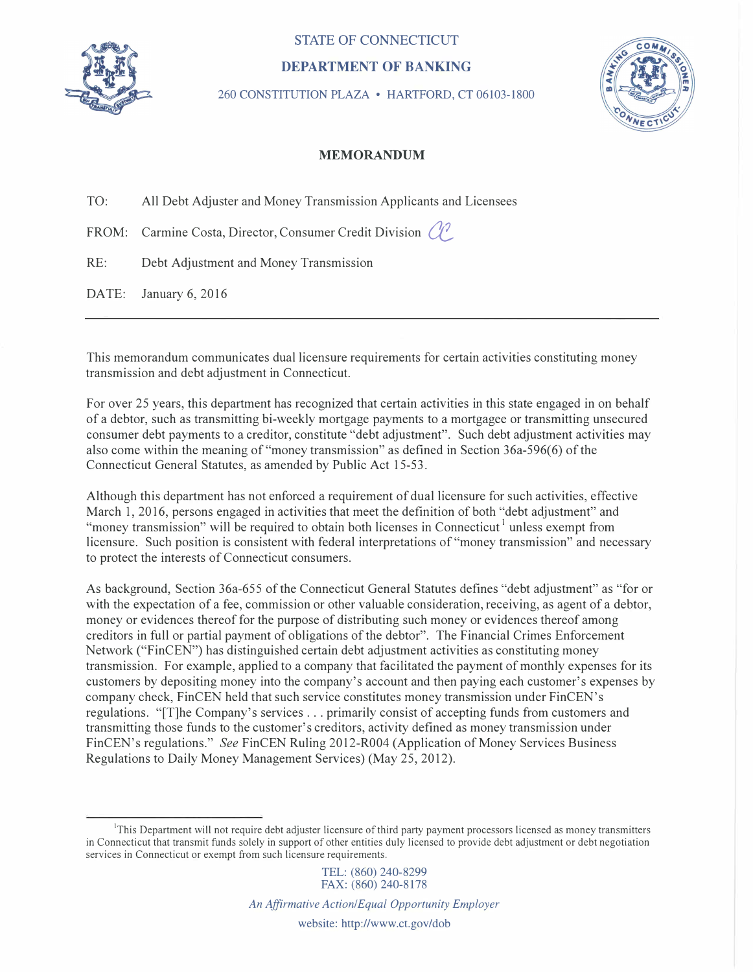

## **STATE OF CONNECTICUT**

## **DEPARTMENT OF BANKING**

260 CONSTITUTION PLAZA • HARTFORD, CT 06103-1800



## **MEMORANDUM**

TO: All Debt Adjuster and Money Transmission Applicants and Licensees

FROM: Carmine Costa, Director, Consumer Credit Division  $\binom{1}{k}$ 

RE: Debt Adjustment and Money Transmission

DATE: January 6, 2016

This memorandum communicates dual licensure requirements for certain activities constituting money transmission and debt adjustment in Connecticut.

For over 25 years, this department has recognized that certain activities in this state engaged in on behalf of a debtor, such as transmitting bi-weekly mortgage payments to a mortgagee or transmitting unsecured consumer debt payments to a creditor, constitute "debt adjustment". Such debt adjustment activities may also come within the meaning of "money transmission" as defined in Section 36a-596(6) of the Connecticut General Statutes, as amended by Public Act 15-53.

Although this department has not enforced a requirement of dual licensure for such activities, effective March 1, 2016, persons engaged in activities that meet the definition of both "debt adjustment" and "money transmission" will be required to obtain both licenses in Connecticut<sup>1</sup> unless exempt from licensure. Such position is consistent with federal interpretations of "money transmission" and necessary to protect the interests of Connecticut consumers.

As background, Section 36a-655 of the Connecticut General Statutes defines "debt adjustment" as "for or with the expectation of a fee, commission or other valuable consideration, receiving, as agent of a debtor, money or evidences thereof for the purpose of distributing such money or evidences thereof among creditors in full or partial payment of obligations of the debtor". The Financial Crimes Enforcement Network ("FinCEN") has distinguished certain debt adjustment activities as constituting money transmission. For example, applied to a company that facilitated the payment of monthly expenses for its customers by depositing money into the company's account and then paying each customer's expenses by company check, FinCEN held that such service constitutes money transmission under FinCEN's regulations. "[T]he Company's services ... primarily consist of accepting funds from customers and transmitting those funds to the customer's creditors, activity defined as money transmission under FinCEN's regulations." *See* FinCEN Ruling 2012-R004 (Application of Money Services Business Regulations to Daily Money Management Services) (May 25, 2012).

TEL: (860) 240-8299

<sup>&</sup>lt;sup>1</sup>This Department will not require debt adjuster licensure of third party payment processors licensed as money transmitters in Connecticut that transmit funds solely in support of other entities duly licensed to provide debt adjustment or debt negotiation services in Connecticut or exempt from such licensure requirements.